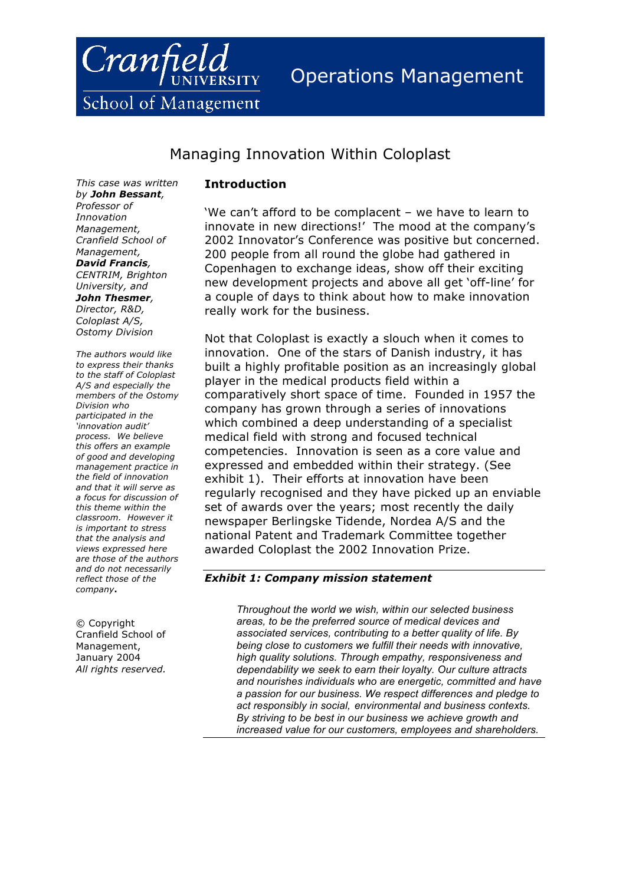

School of Management

# Managing Innovation Within Coloplast

*This case was written by John Bessant, Professor of Innovation Management, Cranfield School of Management, David Francis, CENTRIM, Brighton University, and John Thesmer, Director, R&D, Coloplast A/S, Ostomy Division*

*The authors would like to express their thanks to the staff of Coloplast A/S and especially the members of the Ostomy Division who participated in the 'innovation audit' process. We believe this offers an example of good and developing management practice in the field of innovation and that it will serve as a focus for discussion of this theme within the classroom. However it is important to stress that the analysis and views expressed here are those of the authors and do not necessarily reflect those of the company***.**

© Copyright Cranfield School of Management, January 2004 *All rights reserved.*

## **Introduction**

'We can't afford to be complacent – we have to learn to innovate in new directions!' The mood at the company's 2002 Innovator's Conference was positive but concerned. 200 people from all round the globe had gathered in Copenhagen to exchange ideas, show off their exciting new development projects and above all get 'off-line' for a couple of days to think about how to make innovation really work for the business.

Not that Coloplast is exactly a slouch when it comes to innovation. One of the stars of Danish industry, it has built a highly profitable position as an increasingly global player in the medical products field within a comparatively short space of time. Founded in 1957 the company has grown through a series of innovations which combined a deep understanding of a specialist medical field with strong and focused technical competencies. Innovation is seen as a core value and expressed and embedded within their strategy. (See exhibit 1). Their efforts at innovation have been regularly recognised and they have picked up an enviable set of awards over the years; most recently the daily newspaper Berlingske Tidende, Nordea A/S and the national Patent and Trademark Committee together awarded Coloplast the 2002 Innovation Prize.

### *Exhibit 1: Company mission statement*

*Throughout the world we wish, within our selected business areas, to be the preferred source of medical devices and associated services, contributing to a better quality of life. By being close to customers we fulfill their needs with innovative, high quality solutions. Through empathy, responsiveness and dependability we seek to earn their loyalty. Our culture attracts and nourishes individuals who are energetic, committed and have a passion for our business. We respect differences and pledge to act responsibly in social, environmental and business contexts. By striving to be best in our business we achieve growth and increased value for our customers, employees and shareholders.*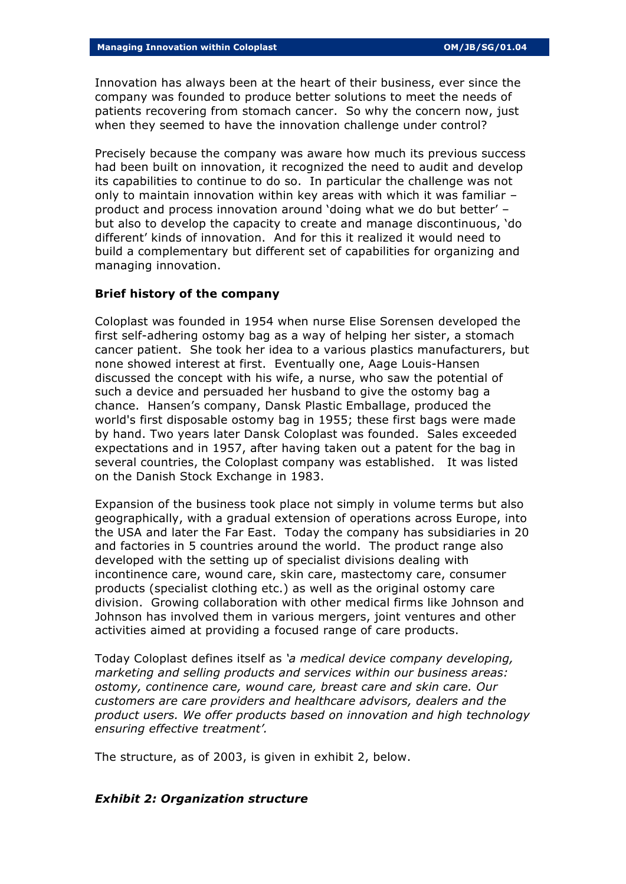Innovation has always been at the heart of their business, ever since the company was founded to produce better solutions to meet the needs of patients recovering from stomach cancer. So why the concern now, just when they seemed to have the innovation challenge under control?

Precisely because the company was aware how much its previous success had been built on innovation, it recognized the need to audit and develop its capabilities to continue to do so. In particular the challenge was not only to maintain innovation within key areas with which it was familiar – product and process innovation around 'doing what we do but better' – but also to develop the capacity to create and manage discontinuous, 'do different' kinds of innovation. And for this it realized it would need to build a complementary but different set of capabilities for organizing and managing innovation.

## **Brief history of the company**

Coloplast was founded in 1954 when nurse Elise Sorensen developed the first self-adhering ostomy bag as a way of helping her sister, a stomach cancer patient. She took her idea to a various plastics manufacturers, but none showed interest at first. Eventually one, Aage Louis-Hansen discussed the concept with his wife, a nurse, who saw the potential of such a device and persuaded her husband to give the ostomy bag a chance. Hansen's company, Dansk Plastic Emballage, produced the world's first disposable ostomy bag in 1955; these first bags were made by hand. Two years later Dansk Coloplast was founded. Sales exceeded expectations and in 1957, after having taken out a patent for the bag in several countries, the Coloplast company was established. It was listed on the Danish Stock Exchange in 1983.

Expansion of the business took place not simply in volume terms but also geographically, with a gradual extension of operations across Europe, into the USA and later the Far East. Today the company has subsidiaries in 20 and factories in 5 countries around the world. The product range also developed with the setting up of specialist divisions dealing with incontinence care, wound care, skin care, mastectomy care, consumer products (specialist clothing etc.) as well as the original ostomy care division. Growing collaboration with other medical firms like Johnson and Johnson has involved them in various mergers, joint ventures and other activities aimed at providing a focused range of care products.

Today Coloplast defines itself as *'a medical device company developing, marketing and selling products and services within our business areas: ostomy, continence care, wound care, breast care and skin care. Our customers are care providers and healthcare advisors, dealers and the product users. We offer products based on innovation and high technology ensuring effective treatment'.*

The structure, as of 2003, is given in exhibit 2, below.

#### *Exhibit 2: Organization structure*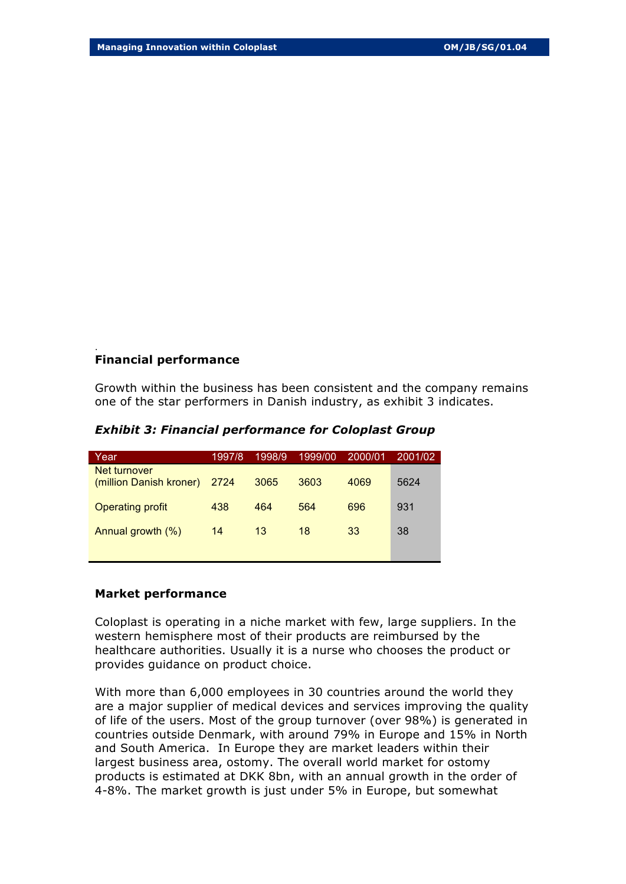## **Financial performance**

.

Growth within the business has been consistent and the company remains one of the star performers in Danish industry, as exhibit 3 indicates.

| Year                                    | 1997/8 | 1998/9 | 1999/00 | 2000/01 | 2001/02 |
|-----------------------------------------|--------|--------|---------|---------|---------|
| Net turnover<br>(million Danish kroner) | 2724   | 3065   | 3603    | 4069    | 5624    |
| <b>Operating profit</b>                 | 438    | 464    | 564     | 696     | 931     |
| Annual growth (%)                       | 14     | 13     | 18      | 33      | 38      |

*Exhibit 3: Financial performance for Coloplast Group*

## **Market performance**

Coloplast is operating in a niche market with few, large suppliers. In the western hemisphere most of their products are reimbursed by the healthcare authorities. Usually it is a nurse who chooses the product or provides guidance on product choice.

With more than 6,000 employees in 30 countries around the world they are a major supplier of medical devices and services improving the quality of life of the users. Most of the group turnover (over 98%) is generated in countries outside Denmark, with around 79% in Europe and 15% in North and South America. In Europe they are market leaders within their largest business area, ostomy. The overall world market for ostomy products is estimated at DKK 8bn, with an annual growth in the order of 4-8%. The market growth is just under 5% in Europe, but somewhat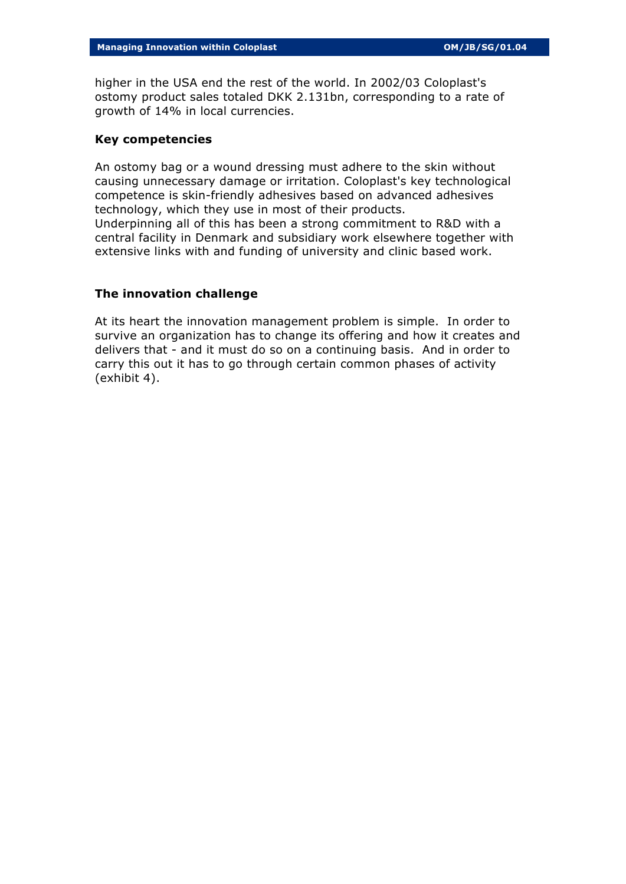higher in the USA end the rest of the world. In 2002/03 Coloplast's ostomy product sales totaled DKK 2.131bn, corresponding to a rate of growth of 14% in local currencies.

### **Key competencies**

An ostomy bag or a wound dressing must adhere to the skin without causing unnecessary damage or irritation. Coloplast's key technological competence is skin-friendly adhesives based on advanced adhesives technology, which they use in most of their products. Underpinning all of this has been a strong commitment to R&D with a central facility in Denmark and subsidiary work elsewhere together with extensive links with and funding of university and clinic based work.

## **The innovation challenge**

At its heart the innovation management problem is simple. In order to survive an organization has to change its offering and how it creates and delivers that - and it must do so on a continuing basis. And in order to carry this out it has to go through certain common phases of activity (exhibit 4).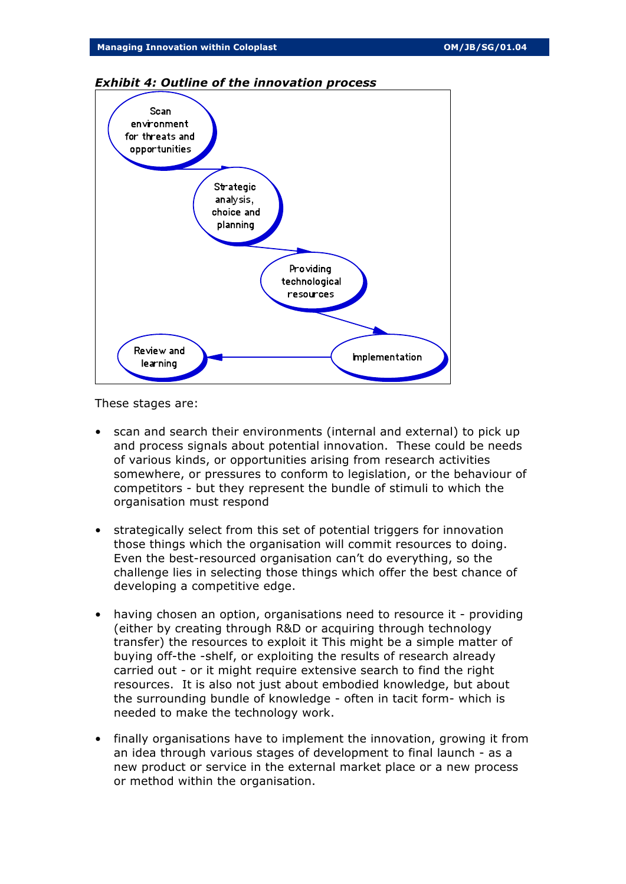

#### *Exhibit 4: Outline of the innovation process*

These stages are:

- scan and search their environments (internal and external) to pick up and process signals about potential innovation. These could be needs of various kinds, or opportunities arising from research activities somewhere, or pressures to conform to legislation, or the behaviour of competitors - but they represent the bundle of stimuli to which the organisation must respond
- strategically select from this set of potential triggers for innovation those things which the organisation will commit resources to doing. Even the best-resourced organisation can't do everything, so the challenge lies in selecting those things which offer the best chance of developing a competitive edge.
- having chosen an option, organisations need to resource it providing (either by creating through R&D or acquiring through technology transfer) the resources to exploit it This might be a simple matter of buying off-the -shelf, or exploiting the results of research already carried out - or it might require extensive search to find the right resources. It is also not just about embodied knowledge, but about the surrounding bundle of knowledge - often in tacit form- which is needed to make the technology work.
- finally organisations have to implement the innovation, growing it from an idea through various stages of development to final launch - as a new product or service in the external market place or a new process or method within the organisation.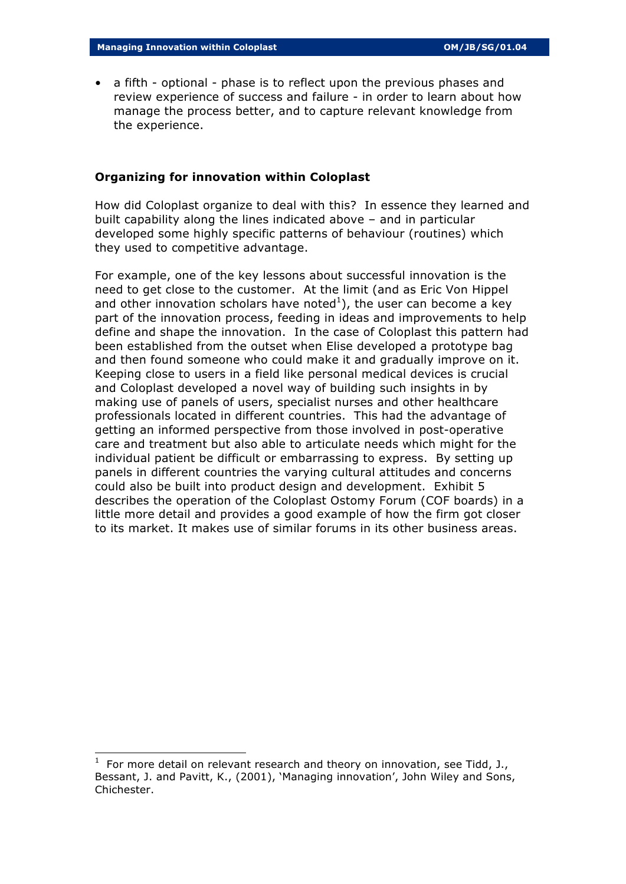• a fifth - optional - phase is to reflect upon the previous phases and review experience of success and failure - in order to learn about how manage the process better, and to capture relevant knowledge from the experience.

## **Organizing for innovation within Coloplast**

How did Coloplast organize to deal with this? In essence they learned and built capability along the lines indicated above – and in particular developed some highly specific patterns of behaviour (routines) which they used to competitive advantage.

For example, one of the key lessons about successful innovation is the need to get close to the customer. At the limit (and as Eric Von Hippel and other innovation scholars have noted $^{1}$ ), the user can become a key part of the innovation process, feeding in ideas and improvements to help define and shape the innovation. In the case of Coloplast this pattern had been established from the outset when Elise developed a prototype bag and then found someone who could make it and gradually improve on it. Keeping close to users in a field like personal medical devices is crucial and Coloplast developed a novel way of building such insights in by making use of panels of users, specialist nurses and other healthcare professionals located in different countries. This had the advantage of getting an informed perspective from those involved in post-operative care and treatment but also able to articulate needs which might for the individual patient be difficult or embarrassing to express. By setting up panels in different countries the varying cultural attitudes and concerns could also be built into product design and development. Exhibit 5 describes the operation of the Coloplast Ostomy Forum (COF boards) in a little more detail and provides a good example of how the firm got closer to its market. It makes use of similar forums in its other business areas.

l

<sup>1</sup> For more detail on relevant research and theory on innovation, see Tidd, J., Bessant, J. and Pavitt, K., (2001), 'Managing innovation', John Wiley and Sons, Chichester.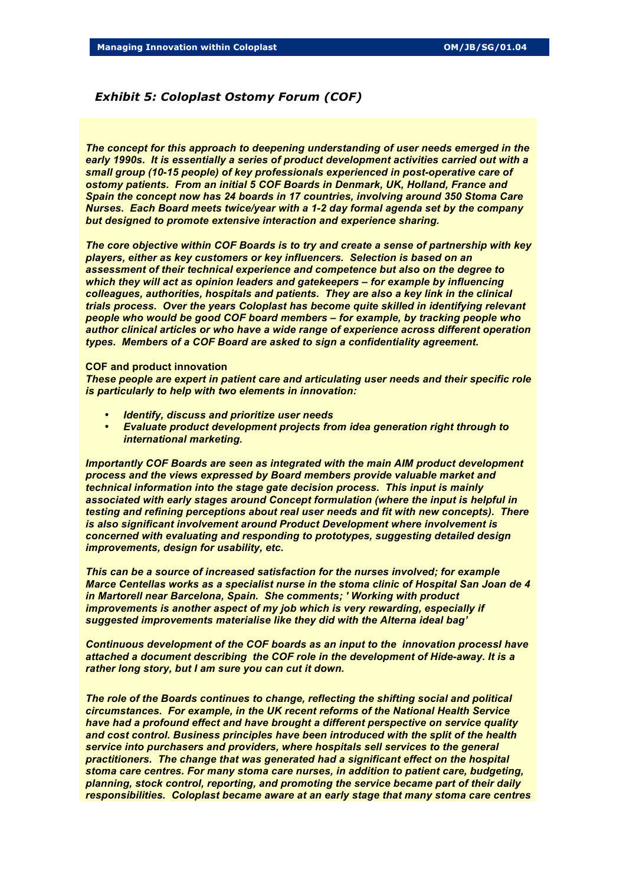#### *Exhibit 5: Coloplast Ostomy Forum (COF)*

*The concept for this approach to deepening understanding of user needs emerged in the early 1990s. It is essentially a series of product development activities carried out with a small group (10-15 people) of key professionals experienced in post-operative care of ostomy patients. From an initial 5 COF Boards in Denmark, UK, Holland, France and Spain the concept now has 24 boards in 17 countries, involving around 350 Stoma Care Nurses. Each Board meets twice/year with a 1-2 day formal agenda set by the company but designed to promote extensive interaction and experience sharing.*

*The core objective within COF Boards is to try and create a sense of partnership with key players, either as key customers or key influencers. Selection is based on an assessment of their technical experience and competence but also on the degree to which they will act as opinion leaders and gatekeepers – for example by influencing colleagues, authorities, hospitals and patients. They are also a key link in the clinical trials process. Over the years Coloplast has become quite skilled in identifying relevant people who would be good COF board members – for example, by tracking people who author clinical articles or who have a wide range of experience across different operation types. Members of a COF Board are asked to sign a confidentiality agreement.*

#### **COF and product innovation**

*These people are expert in patient care and articulating user needs and their specific role is particularly to help with two elements in innovation:*

- *Identify, discuss and prioritize user needs*
- *Evaluate product development projects from idea generation right through to international marketing.*

*Importantly COF Boards are seen as integrated with the main AIM product development process and the views expressed by Board members provide valuable market and technical information into the stage gate decision process. This input is mainly associated with early stages around Concept formulation (where the input is helpful in testing and refining perceptions about real user needs and fit with new concepts). There is also significant involvement around Product Development where involvement is concerned with evaluating and responding to prototypes, suggesting detailed design improvements, design for usability, etc.*

*This can be a source of increased satisfaction for the nurses involved; for example Marce Centellas works as a specialist nurse in the stoma clinic of Hospital San Joan de 4 in Martorell near Barcelona, Spain. She comments; ' Working with product improvements is another aspect of my job which is very rewarding, especially if suggested improvements materialise like they did with the Alterna ideal bag'*

*Continuous development of the COF boards as an input to the innovation processI have attached a document describing the COF role in the development of Hide-away. It is a rather long story, but I am sure you can cut it down.*

*The role of the Boards continues to change, reflecting the shifting social and political circumstances. For example, in the UK recent reforms of the National Health Service have had a profound effect and have brought a different perspective on service quality and cost control. Business principles have been introduced with the split of the health service into purchasers and providers, where hospitals sell services to the general practitioners. The change that was generated had a significant effect on the hospital stoma care centres. For many stoma care nurses, in addition to patient care, budgeting, planning, stock control, reporting, and promoting the service became part of their daily responsibilities. Coloplast became aware at an early stage that many stoma care centres*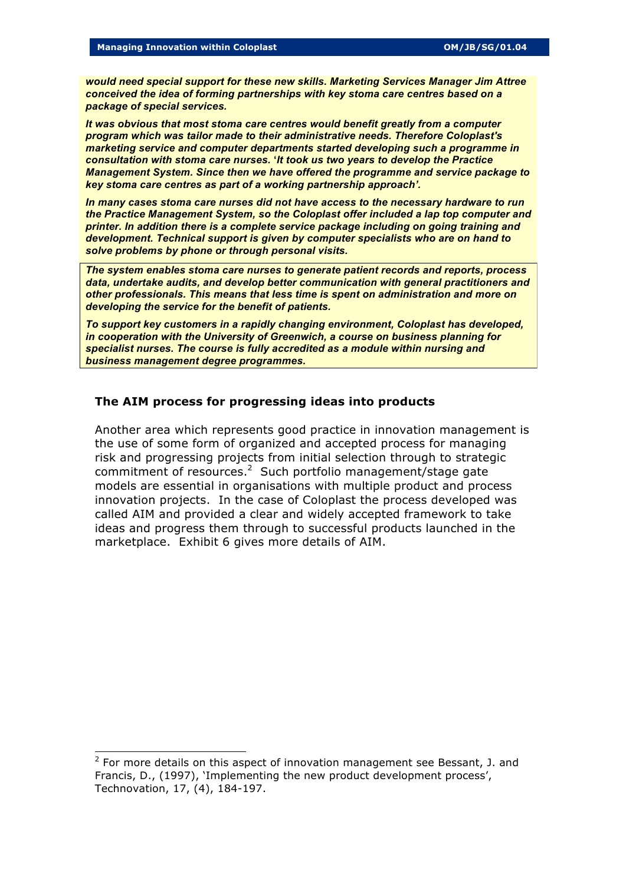*would need special support for these new skills. Marketing Services Manager Jim Attree conceived the idea of forming partnerships with key stoma care centres based on a package of special services.* 

*It was obvious that most stoma care centres would benefit greatly from a computer program which was tailor made to their administrative needs. Therefore Coloplast's marketing service and computer departments started developing such a programme in consultation with stoma care nurses.* **'***It took us two years to develop the Practice Management System. Since then we have offered the programme and service package to key stoma care centres as part of a working partnership approach'.*

*In many cases stoma care nurses did not have access to the necessary hardware to run the Practice Management System, so the Coloplast offer included a lap top computer and printer. In addition there is a complete service package including on going training and development. Technical support is given by computer specialists who are on hand to solve problems by phone or through personal visits.*

*The system enables stoma care nurses to generate patient records and reports, process data, undertake audits, and develop better communication with general practitioners and other professionals. This means that less time is spent on administration and more on developing the service for the benefit of patients.*

*To support key customers in a rapidly changing environment, Coloplast has developed, in cooperation with the University of Greenwich, a course on business planning for specialist nurses. The course is fully accredited as a module within nursing and business management degree programmes.*

## **The AIM process for progressing ideas into products**

Another area which represents good practice in innovation management is the use of some form of organized and accepted process for managing risk and progressing projects from initial selection through to strategic commitment of resources. $2$  Such portfolio management/stage gate models are essential in organisations with multiple product and process innovation projects. In the case of Coloplast the process developed was called AIM and provided a clear and widely accepted framework to take ideas and progress them through to successful products launched in the marketplace. Exhibit 6 gives more details of AIM.

l

 $2$  For more details on this aspect of innovation management see Bessant, J. and Francis, D., (1997), 'Implementing the new product development process', Technovation, 17, (4), 184-197.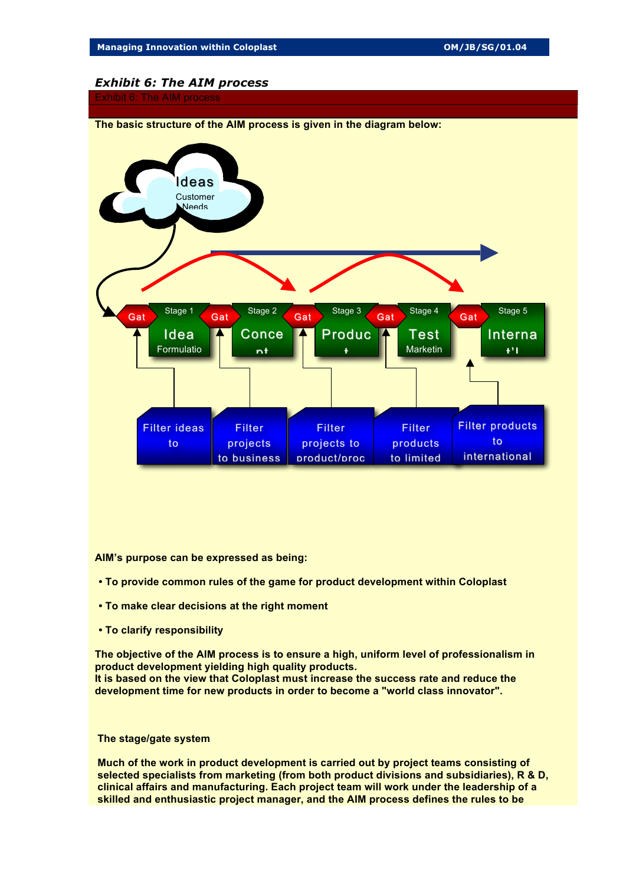## *Exhibit 6: The AIM process*



**AIM's purpose can be expressed as being:**

- **To provide common rules of the game for product development within Coloplast**
- **To make clear decisions at the right moment**
- **To clarify responsibility**

**The objective of the AIM process is to ensure a high, uniform level of professionalism in product development yielding high quality products. It is based on the view that Coloplast must increase the success rate and reduce the development time for new products in order to become a "world class innovator".**

#### **The stage/gate system**

**Much of the work in product development is carried out by project teams consisting of selected specialists from marketing (from both product divisions and subsidiaries), R & D, clinical affairs and manufacturing. Each project team will work under the leadership of a skilled and enthusiastic project manager, and the AIM process defines the rules to be**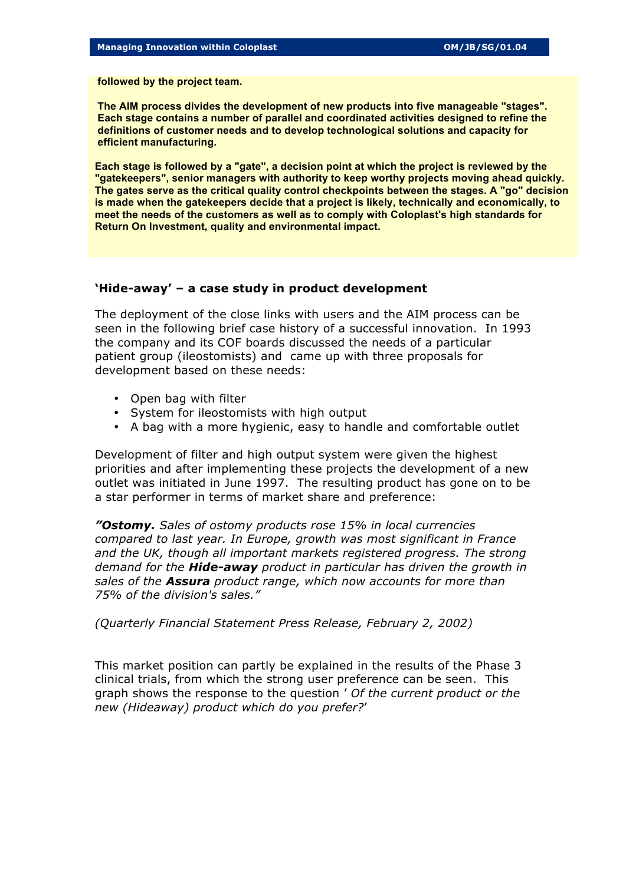**followed by the project team.**

**The AIM process divides the development of new products into five manageable "stages". Each stage contains a number of parallel and coordinated activities designed to refine the definitions of customer needs and to develop technological solutions and capacity for efficient manufacturing.**

**Each stage is followed by a "gate", a decision point at which the project is reviewed by the "gatekeepers", senior managers with authority to keep worthy projects moving ahead quickly. The gates serve as the critical quality control checkpoints between the stages. A "go" decision is made when the gatekeepers decide that a project is likely, technically and economically, to meet the needs of the customers as well as to comply with Coloplast's high standards for Return On Investment, quality and environmental impact.**

## **'Hide-away' – a case study in product development**

The deployment of the close links with users and the AIM process can be seen in the following brief case history of a successful innovation. In 1993 the company and its COF boards discussed the needs of a particular patient group (ileostomists) and came up with three proposals for development based on these needs:

- Open bag with filter
- System for ileostomists with high output
- A bag with a more hygienic, easy to handle and comfortable outlet

Development of filter and high output system were given the highest priorities and after implementing these projects the development of a new outlet was initiated in June 1997. The resulting product has gone on to be a star performer in terms of market share and preference:

*"Ostomy. Sales of ostomy products rose 15% in local currencies compared to last year. In Europe, growth was most significant in France*  and the UK, though all important markets registered progress. The strong *demand for the Hide-away product in particular has driven the growth in sales of the Assura product range, which now accounts for more than 75% of the division's sales."*

*(Quarterly Financial Statement Press Release, February 2, 2002)*

This market position can partly be explained in the results of the Phase 3 clinical trials, from which the strong user preference can be seen. This graph shows the response to the question ' *Of the current product or the new (Hideaway) product which do you prefer?*'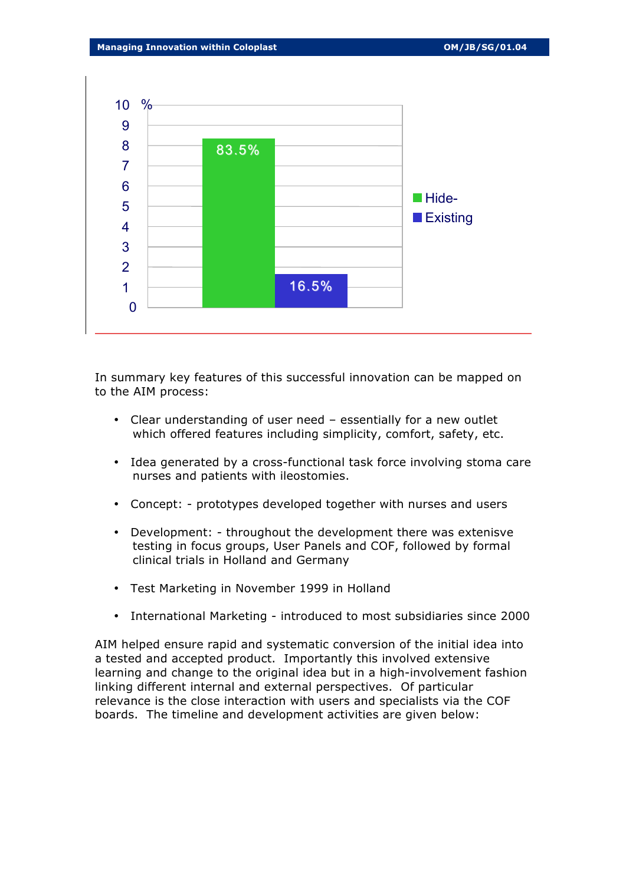

In summary key features of this successful innovation can be mapped on to the AIM process:

- Clear understanding of user need essentially for a new outlet which offered features including simplicity, comfort, safety, etc.
- Idea generated by a cross-functional task force involving stoma care nurses and patients with ileostomies.
- Concept: prototypes developed together with nurses and users
- Development: throughout the development there was extenisve testing in focus groups, User Panels and COF, followed by formal clinical trials in Holland and Germany
- Test Marketing in November 1999 in Holland
- International Marketing introduced to most subsidiaries since 2000

AIM helped ensure rapid and systematic conversion of the initial idea into a tested and accepted product. Importantly this involved extensive learning and change to the original idea but in a high-involvement fashion linking different internal and external perspectives. Of particular relevance is the close interaction with users and specialists via the COF boards. The timeline and development activities are given below: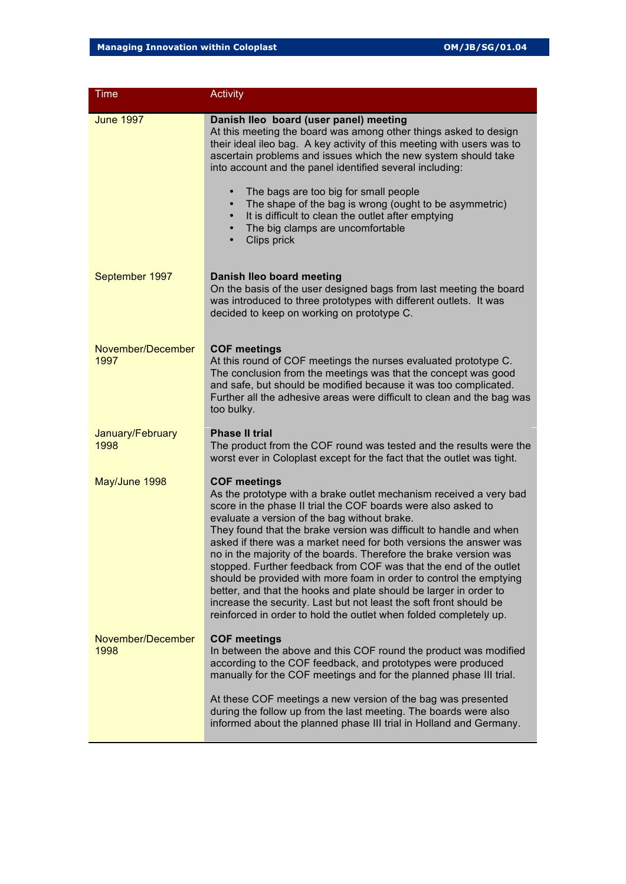| Time                      | <b>Activity</b>                                                                                                                                                                                                                                                                                                                                                                                                                                                                                                                                                                                                                                                                                                                                                                       |
|---------------------------|---------------------------------------------------------------------------------------------------------------------------------------------------------------------------------------------------------------------------------------------------------------------------------------------------------------------------------------------------------------------------------------------------------------------------------------------------------------------------------------------------------------------------------------------------------------------------------------------------------------------------------------------------------------------------------------------------------------------------------------------------------------------------------------|
| <b>June 1997</b>          | Danish Ileo board (user panel) meeting<br>At this meeting the board was among other things asked to design<br>their ideal ileo bag. A key activity of this meeting with users was to<br>ascertain problems and issues which the new system should take<br>into account and the panel identified several including:                                                                                                                                                                                                                                                                                                                                                                                                                                                                    |
|                           | The bags are too big for small people<br>$\bullet$<br>The shape of the bag is wrong (ought to be asymmetric)<br>It is difficult to clean the outlet after emptying<br>The big clamps are uncomfortable<br>Clips prick                                                                                                                                                                                                                                                                                                                                                                                                                                                                                                                                                                 |
| September 1997            | Danish Ileo board meeting<br>On the basis of the user designed bags from last meeting the board<br>was introduced to three prototypes with different outlets. It was<br>decided to keep on working on prototype C.                                                                                                                                                                                                                                                                                                                                                                                                                                                                                                                                                                    |
| November/December<br>1997 | <b>COF meetings</b><br>At this round of COF meetings the nurses evaluated prototype C.<br>The conclusion from the meetings was that the concept was good<br>and safe, but should be modified because it was too complicated.<br>Further all the adhesive areas were difficult to clean and the bag was<br>too bulky.                                                                                                                                                                                                                                                                                                                                                                                                                                                                  |
| January/February<br>1998  | <b>Phase II trial</b><br>The product from the COF round was tested and the results were the<br>worst ever in Coloplast except for the fact that the outlet was tight.                                                                                                                                                                                                                                                                                                                                                                                                                                                                                                                                                                                                                 |
| May/June 1998             | <b>COF meetings</b><br>As the prototype with a brake outlet mechanism received a very bad<br>score in the phase II trial the COF boards were also asked to<br>evaluate a version of the bag without brake.<br>They found that the brake version was difficult to handle and when<br>asked if there was a market need for both versions the answer was<br>no in the majority of the boards. Therefore the brake version was<br>stopped. Further feedback from COF was that the end of the outlet<br>should be provided with more foam in order to control the emptying<br>better, and that the hooks and plate should be larger in order to<br>increase the security. Last but not least the soft front should be<br>reinforced in order to hold the outlet when folded completely up. |
| November/December<br>1998 | <b>COF meetings</b><br>In between the above and this COF round the product was modified<br>according to the COF feedback, and prototypes were produced<br>manually for the COF meetings and for the planned phase III trial.                                                                                                                                                                                                                                                                                                                                                                                                                                                                                                                                                          |
|                           | At these COF meetings a new version of the bag was presented<br>during the follow up from the last meeting. The boards were also<br>informed about the planned phase III trial in Holland and Germany.                                                                                                                                                                                                                                                                                                                                                                                                                                                                                                                                                                                |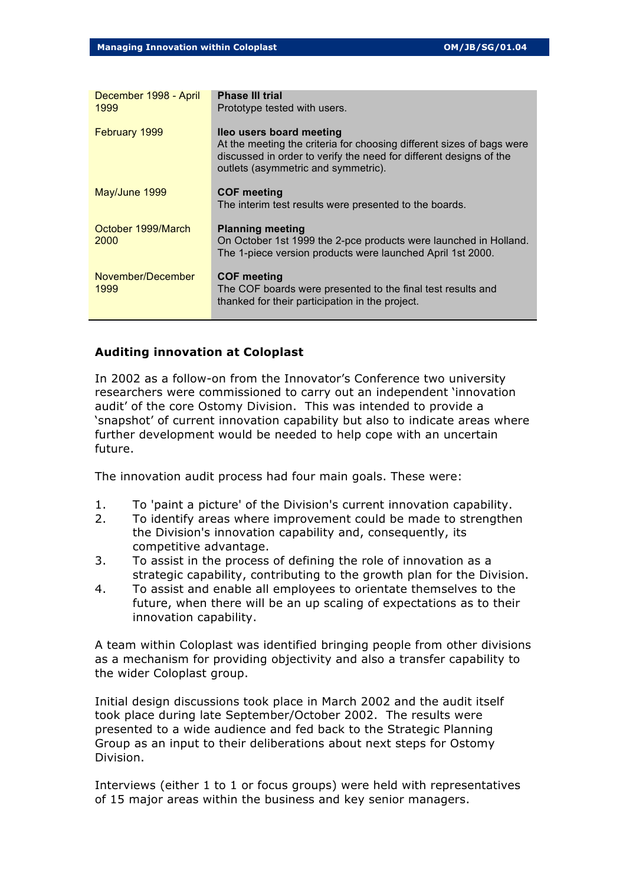| December 1998 - April<br>1999 | <b>Phase III trial</b><br>Prototype tested with users.                                                                                                                                                         |
|-------------------------------|----------------------------------------------------------------------------------------------------------------------------------------------------------------------------------------------------------------|
| February 1999                 | lleo users board meeting<br>At the meeting the criteria for choosing different sizes of bags were<br>discussed in order to verify the need for different designs of the<br>outlets (asymmetric and symmetric). |
| May/June 1999                 | <b>COF meeting</b><br>The interim test results were presented to the boards.                                                                                                                                   |
| October 1999/March<br>2000    | <b>Planning meeting</b><br>On October 1st 1999 the 2-pce products were launched in Holland.<br>The 1-piece version products were launched April 1st 2000.                                                      |
| November/December<br>1999     | <b>COF meeting</b><br>The COF boards were presented to the final test results and<br>thanked for their participation in the project.                                                                           |

## **Auditing innovation at Coloplast**

In 2002 as a follow-on from the Innovator's Conference two university researchers were commissioned to carry out an independent 'innovation audit' of the core Ostomy Division. This was intended to provide a 'snapshot' of current innovation capability but also to indicate areas where further development would be needed to help cope with an uncertain future.

The innovation audit process had four main goals. These were:

- 1. To 'paint a picture' of the Division's current innovation capability.
- 2. To identify areas where improvement could be made to strengthen the Division's innovation capability and, consequently, its competitive advantage.
- 3. To assist in the process of defining the role of innovation as a strategic capability, contributing to the growth plan for the Division.
- 4. To assist and enable all employees to orientate themselves to the future, when there will be an up scaling of expectations as to their innovation capability.

A team within Coloplast was identified bringing people from other divisions as a mechanism for providing objectivity and also a transfer capability to the wider Coloplast group.

Initial design discussions took place in March 2002 and the audit itself took place during late September/October 2002. The results were presented to a wide audience and fed back to the Strategic Planning Group as an input to their deliberations about next steps for Ostomy Division.

Interviews (either 1 to 1 or focus groups) were held with representatives of 15 major areas within the business and key senior managers.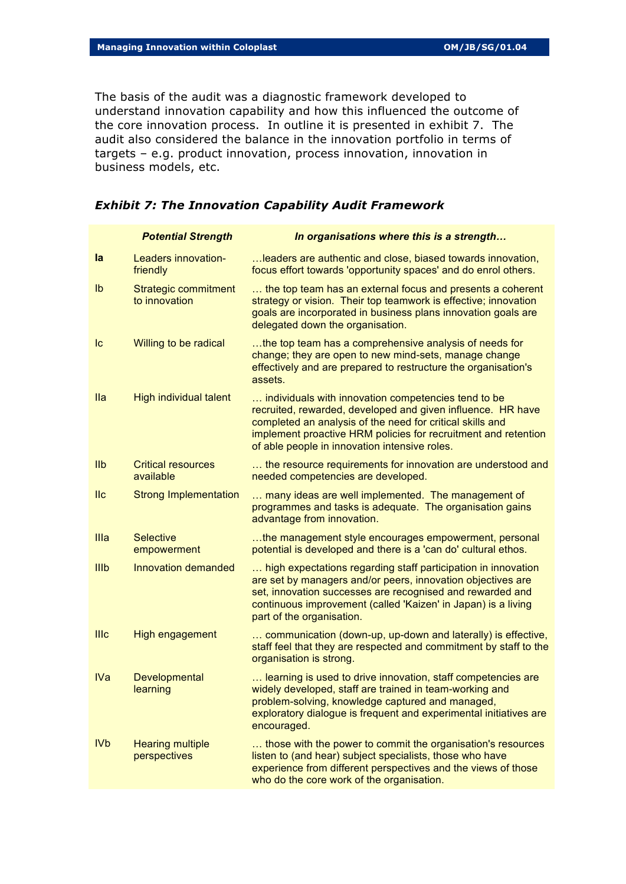The basis of the audit was a diagnostic framework developed to understand innovation capability and how this influenced the outcome of the core innovation process. In outline it is presented in exhibit 7. The audit also considered the balance in the innovation portfolio in terms of targets – e.g. product innovation, process innovation, innovation in business models, etc.

|                         | <b>Potential Strength</b>                    | In organisations where this is a strength                                                                                                                                                                                                                                                          |
|-------------------------|----------------------------------------------|----------------------------------------------------------------------------------------------------------------------------------------------------------------------------------------------------------------------------------------------------------------------------------------------------|
| la                      | Leaders innovation-<br>friendly              | leaders are authentic and close, biased towards innovation,<br>focus effort towards 'opportunity spaces' and do enrol others.                                                                                                                                                                      |
| $\mathsf{I} \mathsf{b}$ | <b>Strategic commitment</b><br>to innovation | the top team has an external focus and presents a coherent<br>strategy or vision. Their top teamwork is effective; innovation<br>goals are incorporated in business plans innovation goals are<br>delegated down the organisation.                                                                 |
| Ic                      | Willing to be radical                        | the top team has a comprehensive analysis of needs for<br>change; they are open to new mind-sets, manage change<br>effectively and are prepared to restructure the organisation's<br>assets.                                                                                                       |
| <b>Ila</b>              | High individual talent                       | individuals with innovation competencies tend to be<br>recruited, rewarded, developed and given influence. HR have<br>completed an analysis of the need for critical skills and<br>implement proactive HRM policies for recruitment and retention<br>of able people in innovation intensive roles. |
| I <sub>1</sub>          | <b>Critical resources</b><br>available       | the resource requirements for innovation are understood and<br>needed competencies are developed.                                                                                                                                                                                                  |
| II <sub>c</sub>         | <b>Strong Implementation</b>                 | many ideas are well implemented. The management of<br>programmes and tasks is adequate. The organisation gains<br>advantage from innovation.                                                                                                                                                       |
| Illa                    | <b>Selective</b><br>empowerment              | the management style encourages empowerment, personal<br>potential is developed and there is a 'can do' cultural ethos.                                                                                                                                                                            |
| IIIb                    | Innovation demanded                          | high expectations regarding staff participation in innovation<br>are set by managers and/or peers, innovation objectives are<br>set, innovation successes are recognised and rewarded and<br>continuous improvement (called 'Kaizen' in Japan) is a living<br>part of the organisation.            |
| <b>IIIc</b>             | High engagement                              | communication (down-up, up-down and laterally) is effective,<br>staff feel that they are respected and commitment by staff to the<br>organisation is strong.                                                                                                                                       |
| <b>IVa</b>              | Developmental<br>learning                    | learning is used to drive innovation, staff competencies are<br>widely developed, staff are trained in team-working and<br>problem-solving, knowledge captured and managed,<br>exploratory dialogue is frequent and experimental initiatives are<br>encouraged.                                    |
| <b>IVb</b>              | <b>Hearing multiple</b><br>perspectives      | those with the power to commit the organisation's resources<br>listen to (and hear) subject specialists, those who have<br>experience from different perspectives and the views of those<br>who do the core work of the organisation.                                                              |

## *Exhibit 7: The Innovation Capability Audit Framework*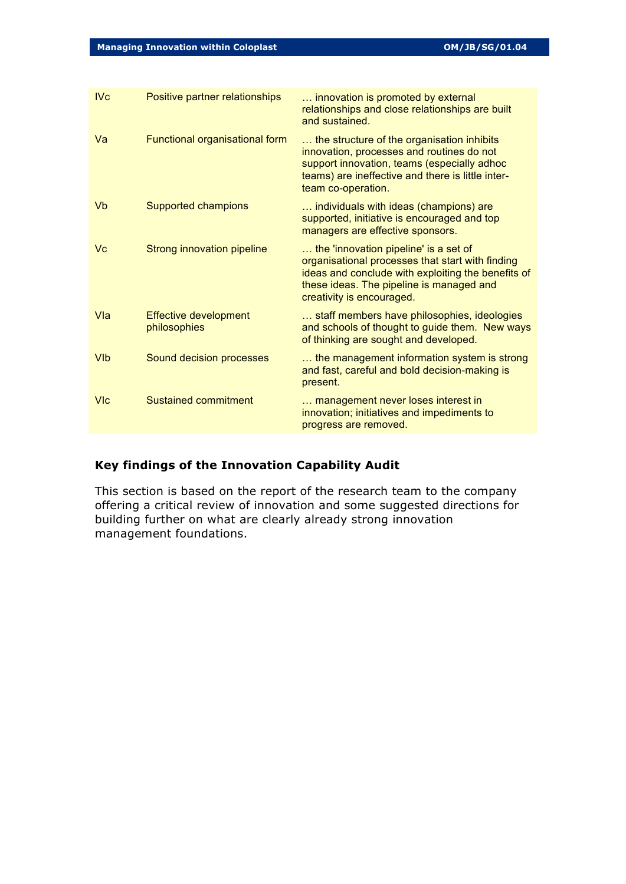| IVc        | Positive partner relationships               | innovation is promoted by external<br>relationships and close relationships are built<br>and sustained.                                                                                                                  |
|------------|----------------------------------------------|--------------------------------------------------------------------------------------------------------------------------------------------------------------------------------------------------------------------------|
| Va         | Functional organisational form               | the structure of the organisation inhibits<br>innovation, processes and routines do not<br>support innovation, teams (especially adhoc<br>teams) are ineffective and there is little inter-<br>team co-operation.        |
| Vb         | Supported champions                          | individuals with ideas (champions) are<br>supported, initiative is encouraged and top<br>managers are effective sponsors.                                                                                                |
| Vc         | Strong innovation pipeline                   | the 'innovation pipeline' is a set of<br>organisational processes that start with finding<br>ideas and conclude with exploiting the benefits of<br>these ideas. The pipeline is managed and<br>creativity is encouraged. |
| Vla        | <b>Effective development</b><br>philosophies | staff members have philosophies, ideologies<br>and schools of thought to guide them. New ways<br>of thinking are sought and developed.                                                                                   |
| <b>VIb</b> | Sound decision processes                     | the management information system is strong<br>and fast, careful and bold decision-making is<br>present.                                                                                                                 |
| <b>VIc</b> | <b>Sustained commitment</b>                  | management never loses interest in<br>innovation; initiatives and impediments to<br>progress are removed.                                                                                                                |

## **Key findings of the Innovation Capability Audit**

This section is based on the report of the research team to the company offering a critical review of innovation and some suggested directions for building further on what are clearly already strong innovation management foundations.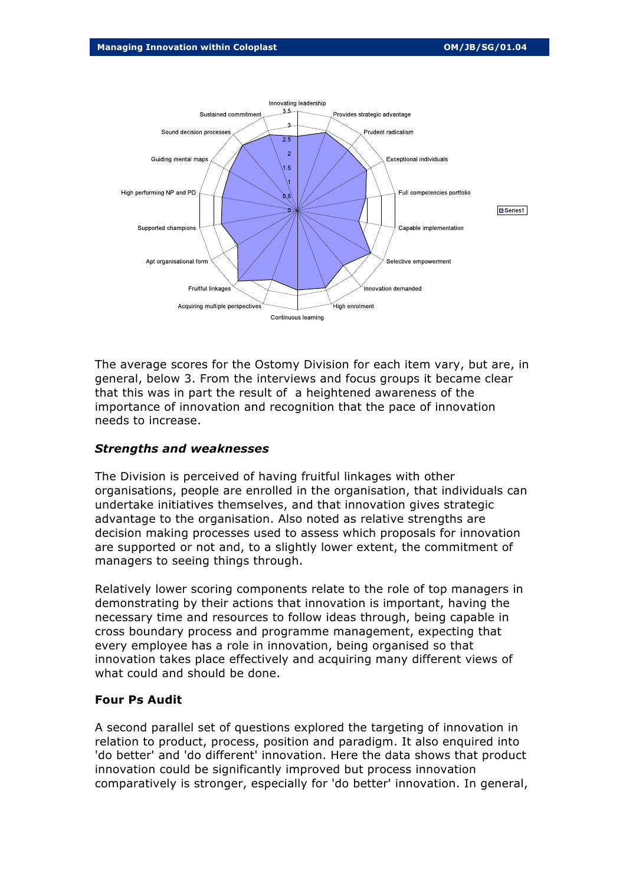

The average scores for the Ostomy Division for each item vary, but are, in general, below 3. From the interviews and focus groups it became clear that this was in part the result of a heightened awareness of the importance of innovation and recognition that the pace of innovation needs to increase.

### *Strengths and weaknesses*

The Division is perceived of having fruitful linkages with other organisations, people are enrolled in the organisation, that individuals can undertake initiatives themselves, and that innovation gives strategic advantage to the organisation. Also noted as relative strengths are decision making processes used to assess which proposals for innovation are supported or not and, to a slightly lower extent, the commitment of managers to seeing things through.

Relatively lower scoring components relate to the role of top managers in demonstrating by their actions that innovation is important, having the necessary time and resources to follow ideas through, being capable in cross boundary process and programme management, expecting that every employee has a role in innovation, being organised so that innovation takes place effectively and acquiring many different views of what could and should be done.

### **Four Ps Audit**

A second parallel set of questions explored the targeting of innovation in relation to product, process, position and paradigm. It also enquired into 'do better' and 'do different' innovation. Here the data shows that product innovation could be significantly improved but process innovation comparatively is stronger, especially for 'do better' innovation. In general,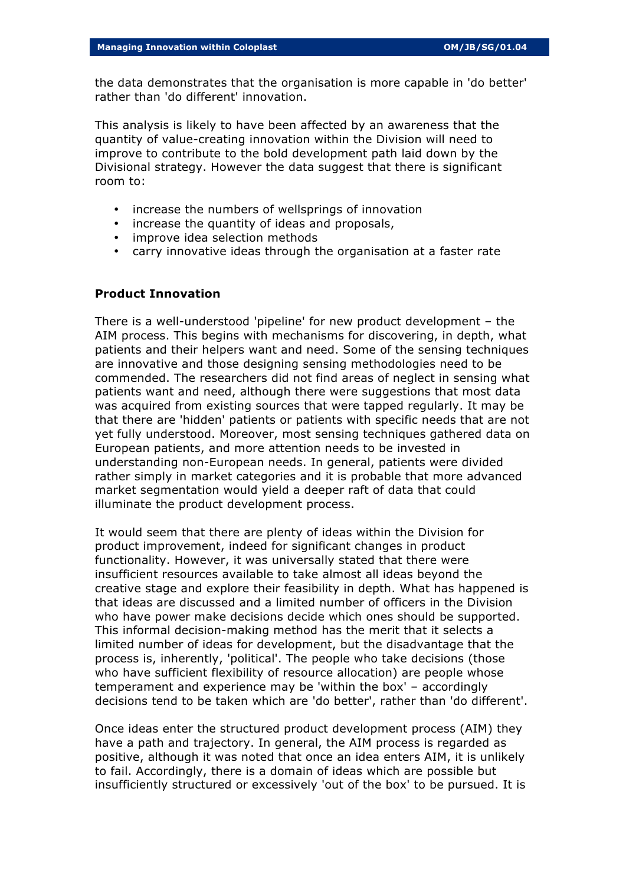the data demonstrates that the organisation is more capable in 'do better' rather than 'do different' innovation.

This analysis is likely to have been affected by an awareness that the quantity of value-creating innovation within the Division will need to improve to contribute to the bold development path laid down by the Divisional strategy. However the data suggest that there is significant room to:

- increase the numbers of wellsprings of innovation
- increase the quantity of ideas and proposals,
- improve idea selection methods
- carry innovative ideas through the organisation at a faster rate

## **Product Innovation**

There is a well-understood 'pipeline' for new product development – the AIM process. This begins with mechanisms for discovering, in depth, what patients and their helpers want and need. Some of the sensing techniques are innovative and those designing sensing methodologies need to be commended. The researchers did not find areas of neglect in sensing what patients want and need, although there were suggestions that most data was acquired from existing sources that were tapped regularly. It may be that there are 'hidden' patients or patients with specific needs that are not yet fully understood. Moreover, most sensing techniques gathered data on European patients, and more attention needs to be invested in understanding non-European needs. In general, patients were divided rather simply in market categories and it is probable that more advanced market segmentation would yield a deeper raft of data that could illuminate the product development process.

It would seem that there are plenty of ideas within the Division for product improvement, indeed for significant changes in product functionality. However, it was universally stated that there were insufficient resources available to take almost all ideas beyond the creative stage and explore their feasibility in depth. What has happened is that ideas are discussed and a limited number of officers in the Division who have power make decisions decide which ones should be supported. This informal decision-making method has the merit that it selects a limited number of ideas for development, but the disadvantage that the process is, inherently, 'political'. The people who take decisions (those who have sufficient flexibility of resource allocation) are people whose temperament and experience may be 'within the box' – accordingly decisions tend to be taken which are 'do better', rather than 'do different'.

Once ideas enter the structured product development process (AIM) they have a path and trajectory. In general, the AIM process is regarded as positive, although it was noted that once an idea enters AIM, it is unlikely to fail. Accordingly, there is a domain of ideas which are possible but insufficiently structured or excessively 'out of the box' to be pursued. It is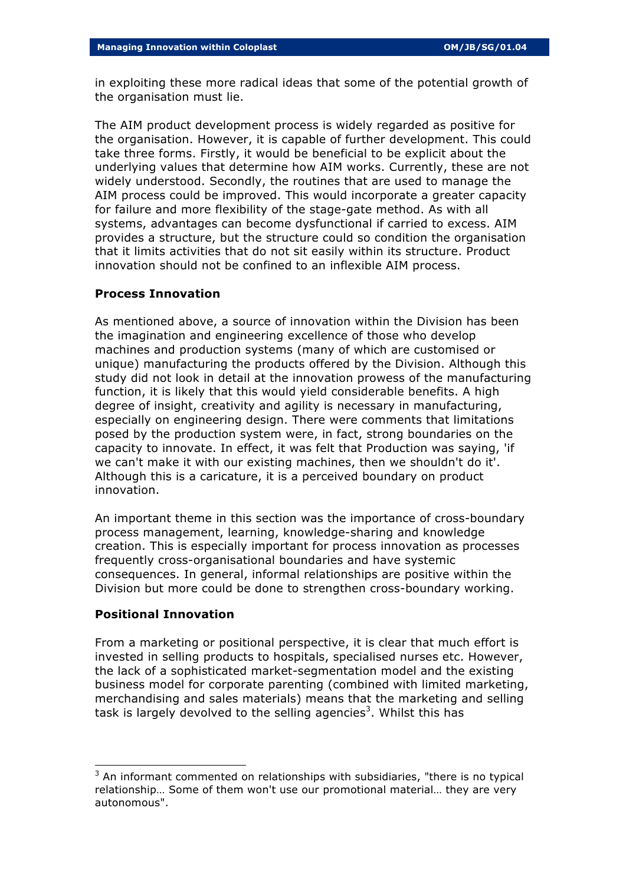in exploiting these more radical ideas that some of the potential growth of the organisation must lie.

The AIM product development process is widely regarded as positive for the organisation. However, it is capable of further development. This could take three forms. Firstly, it would be beneficial to be explicit about the underlying values that determine how AIM works. Currently, these are not widely understood. Secondly, the routines that are used to manage the AIM process could be improved. This would incorporate a greater capacity for failure and more flexibility of the stage-gate method. As with all systems, advantages can become dysfunctional if carried to excess. AIM provides a structure, but the structure could so condition the organisation that it limits activities that do not sit easily within its structure. Product innovation should not be confined to an inflexible AIM process.

## **Process Innovation**

As mentioned above, a source of innovation within the Division has been the imagination and engineering excellence of those who develop machines and production systems (many of which are customised or unique) manufacturing the products offered by the Division. Although this study did not look in detail at the innovation prowess of the manufacturing function, it is likely that this would yield considerable benefits. A high degree of insight, creativity and agility is necessary in manufacturing, especially on engineering design. There were comments that limitations posed by the production system were, in fact, strong boundaries on the capacity to innovate. In effect, it was felt that Production was saying, 'if we can't make it with our existing machines, then we shouldn't do it'. Although this is a caricature, it is a perceived boundary on product innovation.

An important theme in this section was the importance of cross-boundary process management, learning, knowledge-sharing and knowledge creation. This is especially important for process innovation as processes frequently cross-organisational boundaries and have systemic consequences. In general, informal relationships are positive within the Division but more could be done to strengthen cross-boundary working.

## **Positional Innovation**

l

From a marketing or positional perspective, it is clear that much effort is invested in selling products to hospitals, specialised nurses etc. However, the lack of a sophisticated market-segmentation model and the existing business model for corporate parenting (combined with limited marketing, merchandising and sales materials) means that the marketing and selling task is largely devolved to the selling agencies<sup>3</sup>. Whilst this has

 $3$  An informant commented on relationships with subsidiaries, "there is no typical relationship… Some of them won't use our promotional material… they are very autonomous".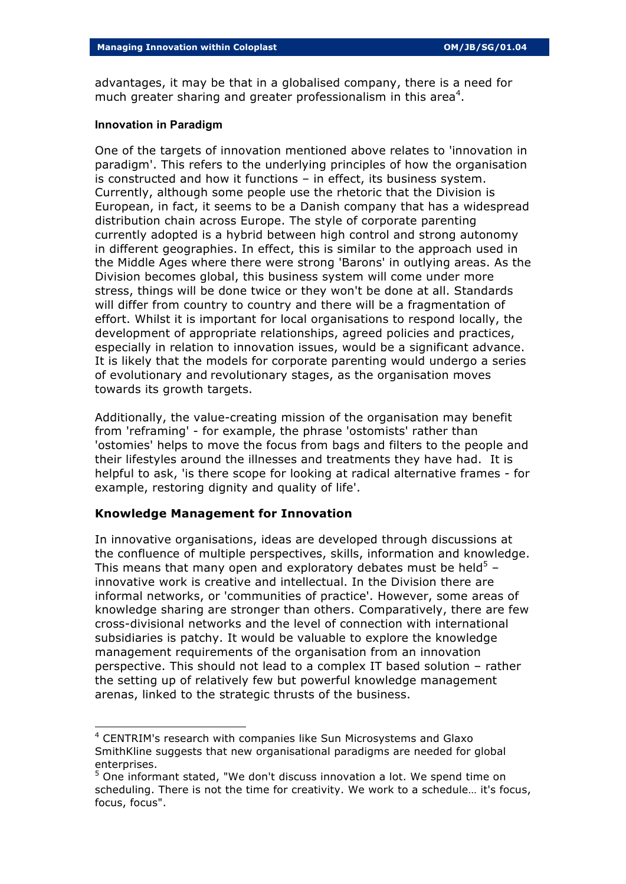advantages, it may be that in a globalised company, there is a need for much greater sharing and greater professionalism in this area<sup>4</sup>.

#### **Innovation in Paradigm**

One of the targets of innovation mentioned above relates to 'innovation in paradigm'. This refers to the underlying principles of how the organisation is constructed and how it functions – in effect, its business system. Currently, although some people use the rhetoric that the Division is European, in fact, it seems to be a Danish company that has a widespread distribution chain across Europe. The style of corporate parenting currently adopted is a hybrid between high control and strong autonomy in different geographies. In effect, this is similar to the approach used in the Middle Ages where there were strong 'Barons' in outlying areas. As the Division becomes global, this business system will come under more stress, things will be done twice or they won't be done at all. Standards will differ from country to country and there will be a fragmentation of effort. Whilst it is important for local organisations to respond locally, the development of appropriate relationships, agreed policies and practices, especially in relation to innovation issues, would be a significant advance. It is likely that the models for corporate parenting would undergo a series of evolutionary and revolutionary stages, as the organisation moves towards its growth targets.

Additionally, the value-creating mission of the organisation may benefit from 'reframing' - for example, the phrase 'ostomists' rather than 'ostomies' helps to move the focus from bags and filters to the people and their lifestyles around the illnesses and treatments they have had. It is helpful to ask, 'is there scope for looking at radical alternative frames - for example, restoring dignity and quality of life'.

## **Knowledge Management for Innovation**

l

In innovative organisations, ideas are developed through discussions at the confluence of multiple perspectives, skills, information and knowledge. This means that many open and exploratory debates must be held<sup>5</sup> – innovative work is creative and intellectual. In the Division there are informal networks, or 'communities of practice'. However, some areas of knowledge sharing are stronger than others. Comparatively, there are few cross-divisional networks and the level of connection with international subsidiaries is patchy. It would be valuable to explore the knowledge management requirements of the organisation from an innovation perspective. This should not lead to a complex IT based solution – rather the setting up of relatively few but powerful knowledge management arenas, linked to the strategic thrusts of the business.

<sup>&</sup>lt;sup>4</sup> CENTRIM's research with companies like Sun Microsystems and Glaxo SmithKline suggests that new organisational paradigms are needed for global enterprises.

<sup>&</sup>lt;sup>5</sup> One informant stated, "We don't discuss innovation a lot. We spend time on scheduling. There is not the time for creativity. We work to a schedule… it's focus, focus, focus".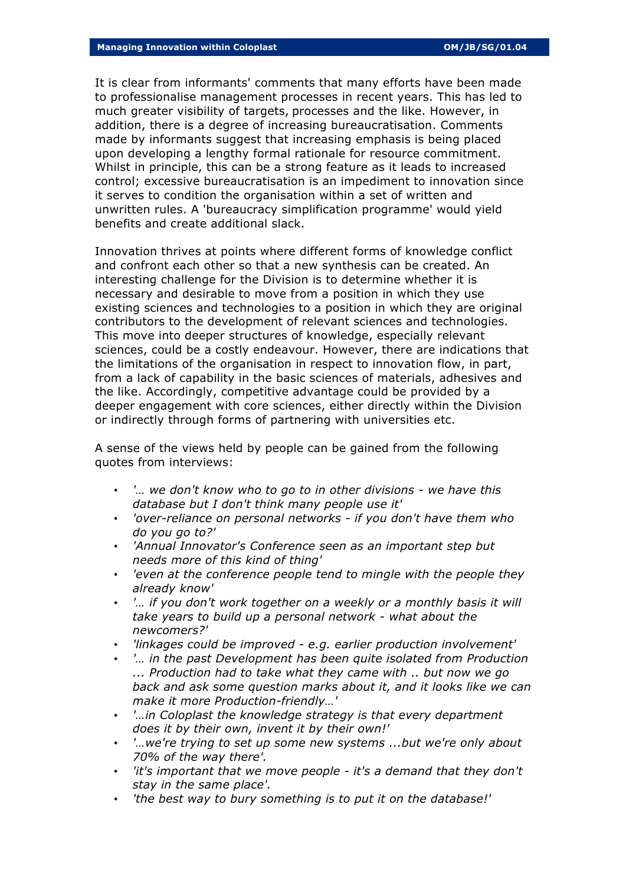It is clear from informants' comments that many efforts have been made to professionalise management processes in recent years. This has led to much greater visibility of targets, processes and the like. However, in addition, there is a degree of increasing bureaucratisation. Comments made by informants suggest that increasing emphasis is being placed upon developing a lengthy formal rationale for resource commitment. Whilst in principle, this can be a strong feature as it leads to increased control; excessive bureaucratisation is an impediment to innovation since it serves to condition the organisation within a set of written and unwritten rules. A 'bureaucracy simplification programme' would yield benefits and create additional slack.

Innovation thrives at points where different forms of knowledge conflict and confront each other so that a new synthesis can be created. An interesting challenge for the Division is to determine whether it is necessary and desirable to move from a position in which they use existing sciences and technologies to a position in which they are original contributors to the development of relevant sciences and technologies. This move into deeper structures of knowledge, especially relevant sciences, could be a costly endeavour. However, there are indications that the limitations of the organisation in respect to innovation flow, in part, from a lack of capability in the basic sciences of materials, adhesives and the like. Accordingly, competitive advantage could be provided by a deeper engagement with core sciences, either directly within the Division or indirectly through forms of partnering with universities etc.

A sense of the views held by people can be gained from the following quotes from interviews:

- *'… we don't know who to go to in other divisions we have this database but I don't think many people use it'*
- *'over-reliance on personal networks if you don't have them who do you go to?'*
- *'Annual Innovator's Conference seen as an important step but needs more of this kind of thing'*
- *'even at the conference people tend to mingle with the people they already know'*
- *'… if you don't work together on a weekly or a monthly basis it will take years to build up a personal network - what about the newcomers?'*
- *'linkages could be improved e.g. earlier production involvement'*
- *'… in the past Development has been quite isolated from Production ... Production had to take what they came with .. but now we go back and ask some question marks about it, and it looks like we can make it more Production-friendly…'*
- *'…in Coloplast the knowledge strategy is that every department does it by their own, invent it by their own!'*
- *'…we're trying to set up some new systems ...but we're only about 70% of the way there'.*
- *'it's important that we move people it's a demand that they don't stay in the same place'.*
- *'the best way to bury something is to put it on the database!'*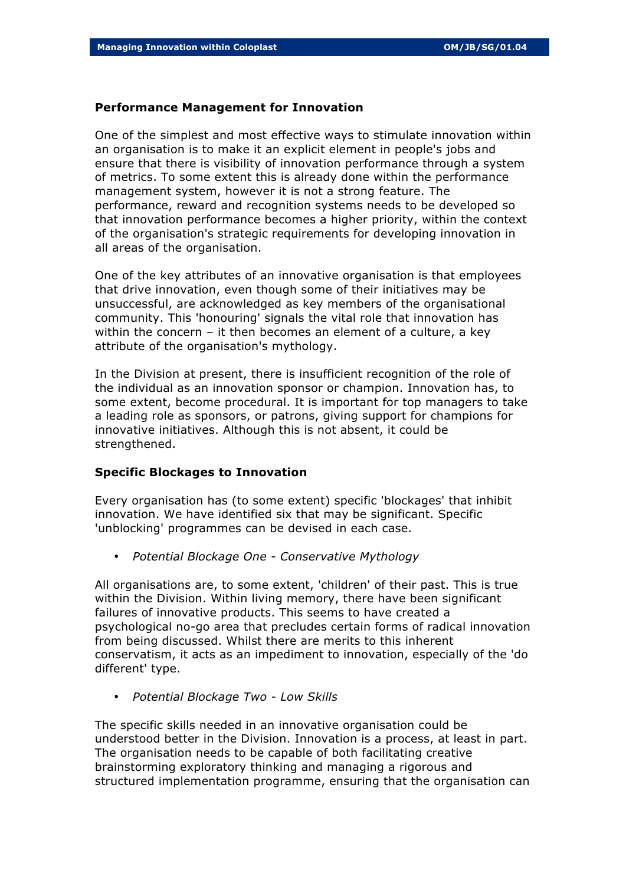### **Performance Management for Innovation**

One of the simplest and most effective ways to stimulate innovation within an organisation is to make it an explicit element in people's jobs and ensure that there is visibility of innovation performance through a system of metrics. To some extent this is already done within the performance management system, however it is not a strong feature. The performance, reward and recognition systems needs to be developed so that innovation performance becomes a higher priority, within the context of the organisation's strategic requirements for developing innovation in all areas of the organisation.

One of the key attributes of an innovative organisation is that employees that drive innovation, even though some of their initiatives may be unsuccessful, are acknowledged as key members of the organisational community. This 'honouring' signals the vital role that innovation has within the concern – it then becomes an element of a culture, a key attribute of the organisation's mythology.

In the Division at present, there is insufficient recognition of the role of the individual as an innovation sponsor or champion. Innovation has, to some extent, become procedural. It is important for top managers to take a leading role as sponsors, or patrons, giving support for champions for innovative initiatives. Although this is not absent, it could be strengthened.

### **Specific Blockages to Innovation**

Every organisation has (to some extent) specific 'blockages' that inhibit innovation. We have identified six that may be significant. Specific 'unblocking' programmes can be devised in each case.

• *Potential Blockage One - Conservative Mythology*

All organisations are, to some extent, 'children' of their past. This is true within the Division. Within living memory, there have been significant failures of innovative products. This seems to have created a psychological no-go area that precludes certain forms of radical innovation from being discussed. Whilst there are merits to this inherent conservatism, it acts as an impediment to innovation, especially of the 'do different' type.

• *Potential Blockage Two - Low Skills*

The specific skills needed in an innovative organisation could be understood better in the Division. Innovation is a process, at least in part. The organisation needs to be capable of both facilitating creative brainstorming exploratory thinking and managing a rigorous and structured implementation programme, ensuring that the organisation can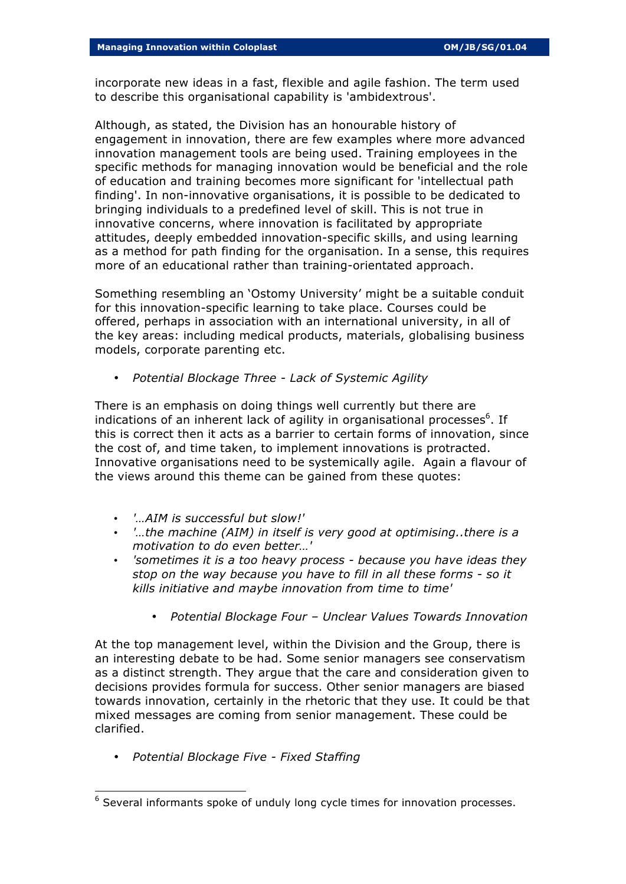incorporate new ideas in a fast, flexible and agile fashion. The term used to describe this organisational capability is 'ambidextrous'.

Although, as stated, the Division has an honourable history of engagement in innovation, there are few examples where more advanced innovation management tools are being used. Training employees in the specific methods for managing innovation would be beneficial and the role of education and training becomes more significant for 'intellectual path finding'. In non-innovative organisations, it is possible to be dedicated to bringing individuals to a predefined level of skill. This is not true in innovative concerns, where innovation is facilitated by appropriate attitudes, deeply embedded innovation-specific skills, and using learning as a method for path finding for the organisation. In a sense, this requires more of an educational rather than training-orientated approach.

Something resembling an 'Ostomy University' might be a suitable conduit for this innovation-specific learning to take place. Courses could be offered, perhaps in association with an international university, in all of the key areas: including medical products, materials, globalising business models, corporate parenting etc.

• *Potential Blockage Three - Lack of Systemic Agility*

There is an emphasis on doing things well currently but there are indications of an inherent lack of agility in organisational processes<sup>6</sup>. If this is correct then it acts as a barrier to certain forms of innovation, since the cost of, and time taken, to implement innovations is protracted. Innovative organisations need to be systemically agile. Again a flavour of the views around this theme can be gained from these quotes:

- *'…AIM is successful but slow!'*
- *'…the machine (AIM) in itself is very good at optimising..there is a motivation to do even better…'*
- *'sometimes it is a too heavy process because you have ideas they stop on the way because you have to fill in all these forms - so it kills initiative and maybe innovation from time to time'* 
	- *Potential Blockage Four Unclear Values Towards Innovation*

At the top management level, within the Division and the Group, there is an interesting debate to be had. Some senior managers see conservatism as a distinct strength. They argue that the care and consideration given to decisions provides formula for success. Other senior managers are biased towards innovation, certainly in the rhetoric that they use. It could be that mixed messages are coming from senior management. These could be clarified.

• *Potential Blockage Five - Fixed Staffing*

l

 $6$  Several informants spoke of unduly long cycle times for innovation processes.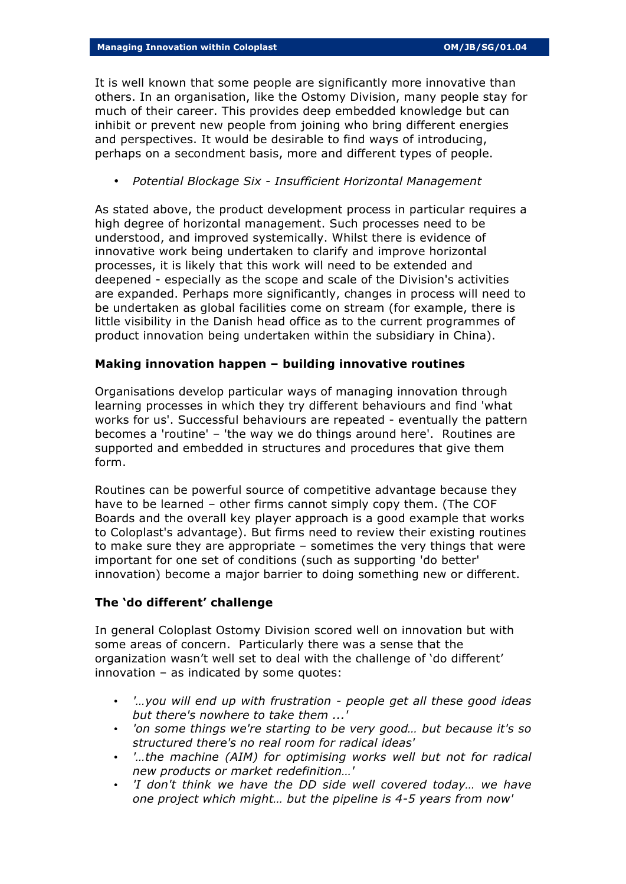It is well known that some people are significantly more innovative than others. In an organisation, like the Ostomy Division, many people stay for much of their career. This provides deep embedded knowledge but can inhibit or prevent new people from joining who bring different energies and perspectives. It would be desirable to find ways of introducing, perhaps on a secondment basis, more and different types of people.

• *Potential Blockage Six - Insufficient Horizontal Management*

As stated above, the product development process in particular requires a high degree of horizontal management. Such processes need to be understood, and improved systemically. Whilst there is evidence of innovative work being undertaken to clarify and improve horizontal processes, it is likely that this work will need to be extended and deepened - especially as the scope and scale of the Division's activities are expanded. Perhaps more significantly, changes in process will need to be undertaken as global facilities come on stream (for example, there is little visibility in the Danish head office as to the current programmes of product innovation being undertaken within the subsidiary in China).

## **Making innovation happen – building innovative routines**

Organisations develop particular ways of managing innovation through learning processes in which they try different behaviours and find 'what works for us'. Successful behaviours are repeated - eventually the pattern becomes a 'routine' – 'the way we do things around here'. Routines are supported and embedded in structures and procedures that give them form.

Routines can be powerful source of competitive advantage because they have to be learned – other firms cannot simply copy them. (The COF Boards and the overall key player approach is a good example that works to Coloplast's advantage). But firms need to review their existing routines to make sure they are appropriate – sometimes the very things that were important for one set of conditions (such as supporting 'do better' innovation) become a major barrier to doing something new or different.

## **The 'do different' challenge**

In general Coloplast Ostomy Division scored well on innovation but with some areas of concern. Particularly there was a sense that the organization wasn't well set to deal with the challenge of 'do different' innovation – as indicated by some quotes:

- *'…you will end up with frustration people get all these good ideas but there's nowhere to take them ...'*
- *'on some things we're starting to be very good… but because it's so structured there's no real room for radical ideas'*
- *'…the machine (AIM) for optimising works well but not for radical new products or market redefinition…'*
- *'I don't think we have the DD side well covered today… we have one project which might… but the pipeline is 4-5 years from now'*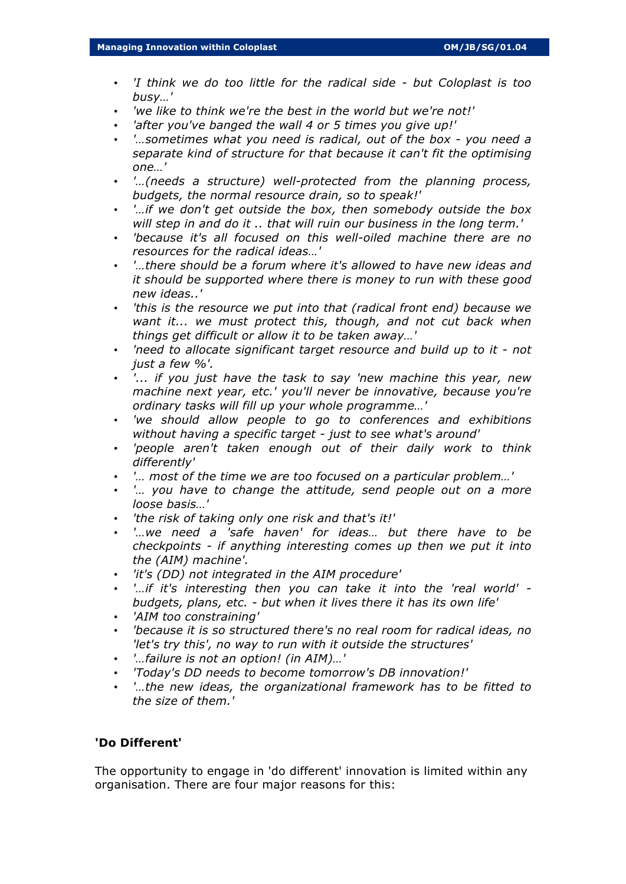- *'I think we do too little for the radical side but Coloplast is too busy…'*
- *'we like to think we're the best in the world but we're not!'*
- *'after you've banged the wall 4 or 5 times you give up!'*
- *'…sometimes what you need is radical, out of the box you need a separate kind of structure for that because it can't fit the optimising one…'*
- *'…(needs a structure) well-protected from the planning process, budgets, the normal resource drain, so to speak!'*
- *'…if we don't get outside the box, then somebody outside the box will step in and do it .. that will ruin our business in the long term.'*
- *'because it's all focused on this well-oiled machine there are no resources for the radical ideas…'*
- *'…there should be a forum where it's allowed to have new ideas and it should be supported where there is money to run with these good new ideas..'*
- *'this is the resource we put into that (radical front end) because we want it... we must protect this, though, and not cut back when things get difficult or allow it to be taken away…'*
- *'need to allocate significant target resource and build up to it not just a few %'.*
- *'... if you just have the task to say 'new machine this year, new machine next year, etc.' you'll never be innovative, because you're ordinary tasks will fill up your whole programme…'*
- *'we should allow people to go to conferences and exhibitions without having a specific target - just to see what's around'*
- *'people aren't taken enough out of their daily work to think differently'*
- *'… most of the time we are too focused on a particular problem…'*
- *'… you have to change the attitude, send people out on a more loose basis…'*
- *'the risk of taking only one risk and that's it!'*
- *'…we need a 'safe haven' for ideas… but there have to be checkpoints - if anything interesting comes up then we put it into the (AIM) machine'.*
- *'it's (DD) not integrated in the AIM procedure'*
- *'…if it's interesting then you can take it into the 'real world' budgets, plans, etc. - but when it lives there it has its own life'*
- *'AIM too constraining'*
- *'because it is so structured there's no real room for radical ideas, no 'let's try this', no way to run with it outside the structures'*
- *'…failure is not an option! (in AIM)…'*
- *'Today's DD needs to become tomorrow's DB innovation!'*
- *'…the new ideas, the organizational framework has to be fitted to the size of them.'*

### **'Do Different'**

The opportunity to engage in 'do different' innovation is limited within any organisation. There are four major reasons for this: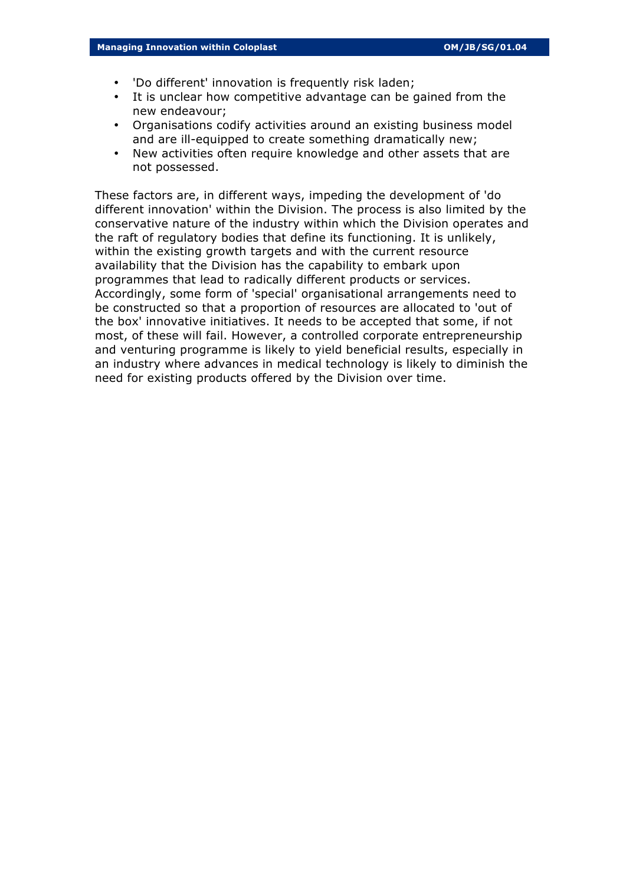- 'Do different' innovation is frequently risk laden;
- It is unclear how competitive advantage can be gained from the new endeavour;
- Organisations codify activities around an existing business model and are ill-equipped to create something dramatically new;
- New activities often require knowledge and other assets that are not possessed.

These factors are, in different ways, impeding the development of 'do different innovation' within the Division. The process is also limited by the conservative nature of the industry within which the Division operates and the raft of regulatory bodies that define its functioning. It is unlikely, within the existing growth targets and with the current resource availability that the Division has the capability to embark upon programmes that lead to radically different products or services. Accordingly, some form of 'special' organisational arrangements need to be constructed so that a proportion of resources are allocated to 'out of the box' innovative initiatives. It needs to be accepted that some, if not most, of these will fail. However, a controlled corporate entrepreneurship and venturing programme is likely to yield beneficial results, especially in an industry where advances in medical technology is likely to diminish the need for existing products offered by the Division over time.